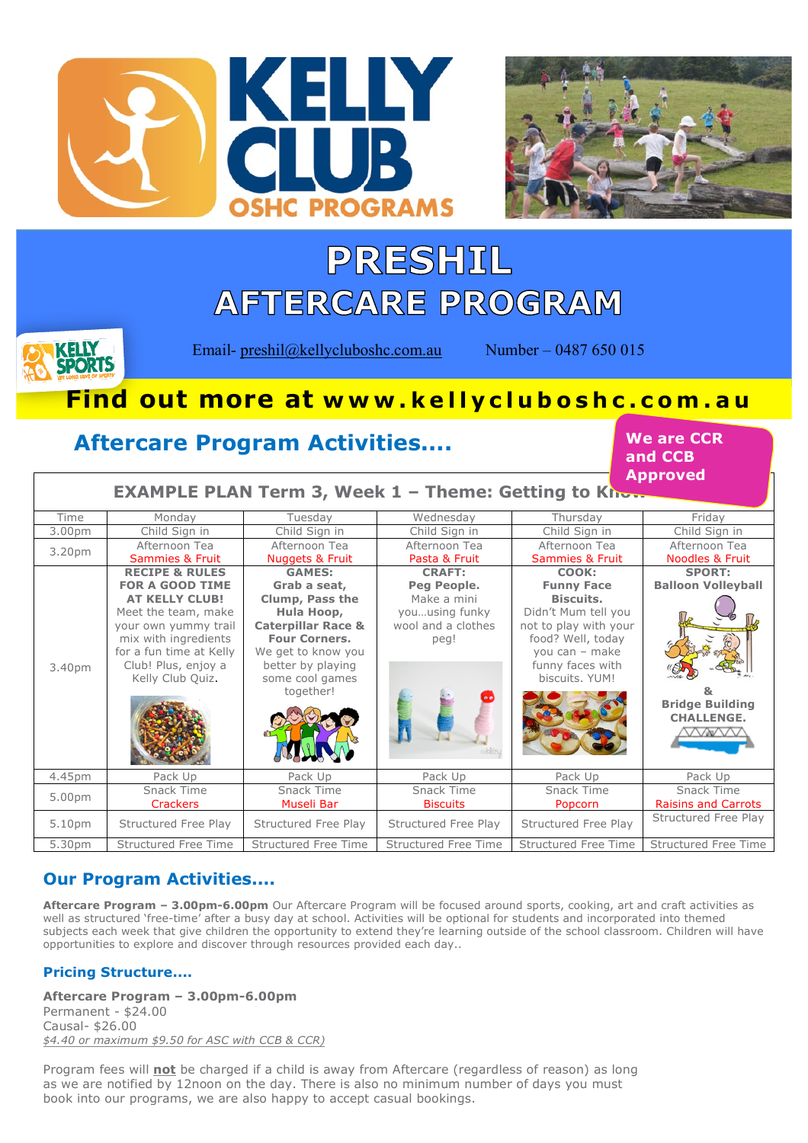



# PRESHIL AFTERCARE PROGRAM

**KELLY**<br>SPOR

Email- [preshil@kellycluboshc.com.au](mailto:preshil@kellycluboshc.com.au) Number – 0487 650 015

## **Find out more at www.kellycluboshc.com.au**

### **Aftercare Program Activities....**

**We are CCR and CCB Approved**

| <b>EXAMPLE PLAN Term 3, Week 1 - Theme: Getting to Knowledge 10 August</b> |  |  |  |
|----------------------------------------------------------------------------|--|--|--|
|                                                                            |  |  |  |

| Time   | Monday                                                | Tuesdav                     | Wednesdav            | Thursdav              | Fridav                                      |
|--------|-------------------------------------------------------|-----------------------------|----------------------|-----------------------|---------------------------------------------|
| 3.00pm | Child Sign in                                         | Child Sign in               | Child Sign in        | Child Sign in         | Child Sign in                               |
| 3.20pm | Afternoon Tea                                         | Afternoon Tea               | Afternoon Tea        | Afternoon Tea         | Afternoon Tea                               |
|        | <b>Sammies &amp; Fruit</b>                            | <b>Nuggets &amp; Fruit</b>  | Pasta & Fruit        | Sammies & Fruit       | <b>Noodles &amp; Fruit</b>                  |
|        | <b>RECIPE &amp; RULES</b>                             | <b>GAMES:</b>               | <b>CRAFT:</b>        | COOK:                 | <b>SPORT:</b>                               |
|        | <b>FOR A GOOD TIME</b>                                | Grab a seat,                | Peg People.          | <b>Funny Face</b>     | <b>Balloon Volleyball</b>                   |
|        | <b>AT KELLY CLUB!</b>                                 | Clump, Pass the             | Make a mini          | <b>Biscuits.</b>      |                                             |
|        | Meet the team, make                                   | Hula Hoop,                  | youusing funky       | Didn't Mum tell you   |                                             |
|        | <b>Caterpillar Race &amp;</b><br>your own yummy trail |                             | wool and a clothes   | not to play with your |                                             |
|        | mix with ingredients                                  | <b>Four Corners.</b>        | peg!                 | food? Well, today     |                                             |
|        | for a fun time at Kelly                               | We get to know you          |                      | you can - make        |                                             |
| 3.40pm | Club! Plus, enjoy a                                   | better by playing           |                      | funny faces with      |                                             |
|        | Kelly Club Quiz.<br>some cool games                   |                             |                      | biscuits. YUM!        |                                             |
|        |                                                       | together!                   | $\bullet$ $\bullet$  |                       |                                             |
|        |                                                       |                             |                      |                       | <b>Bridge Building</b><br><b>CHALLENGE.</b> |
|        |                                                       |                             |                      |                       | ハルハハ                                        |
|        |                                                       |                             |                      |                       |                                             |
|        |                                                       |                             |                      |                       |                                             |
| 4.45pm | Pack Up                                               | Pack Up                     | Pack Up              | Pack Up               | Pack Up                                     |
| 5.00pm | Snack Time                                            | Snack Time                  | Snack Time           | Snack Time            | Snack Time                                  |
|        | <b>Crackers</b>                                       | Museli Bar                  | <b>Biscuits</b>      | Popcorn               | <b>Raisins and Carrots</b>                  |
| 5.10pm | Structured Free Play<br>Structured Free Play          |                             | Structured Free Play | Structured Free Play  | Structured Free Play                        |
|        |                                                       |                             |                      |                       |                                             |
| 5.30pm | Structured Free Time                                  | <b>Structured Free Time</b> | Structured Free Time | Structured Free Time  | Structured Free Time                        |

### **Our Program Activities....**

**Aftercare Program – 3.00pm-6.00pm** Our Aftercare Program will be focused around sports, cooking, art and craft activities as well as structured 'free-time' after a busy day at school. Activities will be optional for students and incorporated into themed subjects each week that give children the opportunity to extend they're learning outside of the school classroom. Children will have opportunities to explore and discover through resources provided each day..

#### **Pricing Structure....**

**Aftercare Program – 3.00pm-6.00pm**  Permanent - \$24.00 Causal- \$26.00

*\$4.40 or maximum \$9.50 for ASC with CCB & CCR)*

Program fees will **not** be charged if a child is away from Aftercare (regardless of reason) as long as we are notified by 12noon on the day. There is also no minimum number of days you must book into our programs, we are also happy to accept casual bookings.